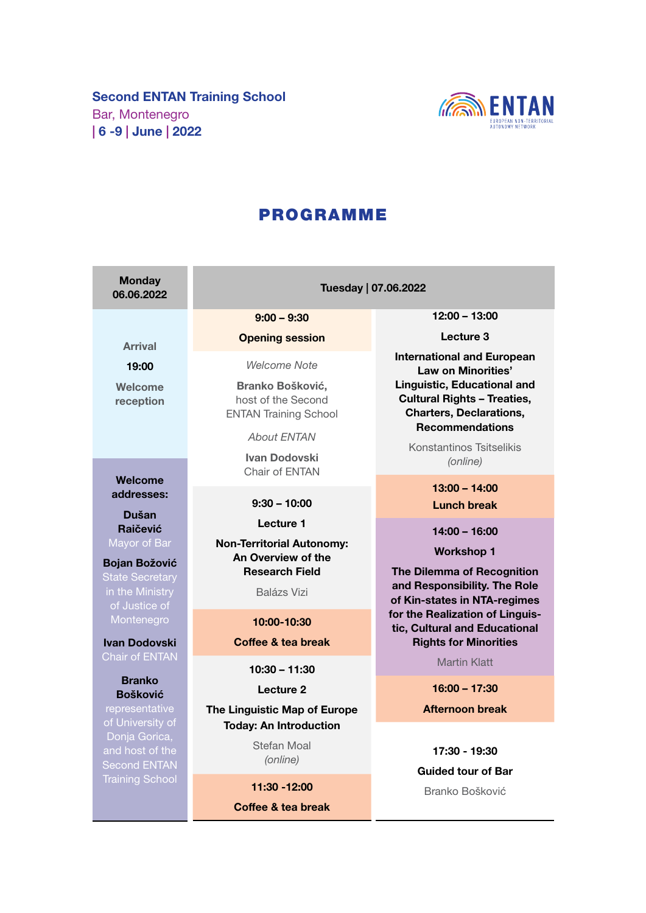

# PROGRAMME

| <b>Monday</b><br>06.06.2022                    | Tuesday   07.06.2022                                                   |                                                                                                                                      |
|------------------------------------------------|------------------------------------------------------------------------|--------------------------------------------------------------------------------------------------------------------------------------|
|                                                | $9:00 - 9:30$                                                          | $12:00 - 13:00$                                                                                                                      |
| <b>Arrival</b>                                 | <b>Opening session</b>                                                 | Lecture 3                                                                                                                            |
| 19:00                                          | <b>Welcome Note</b>                                                    | <b>International and European</b><br>Law on Minorities'                                                                              |
| Welcome<br>reception                           | Branko Bošković,<br>host of the Second<br><b>ENTAN Training School</b> | <b>Linguistic, Educational and</b><br><b>Cultural Rights - Treaties,</b><br><b>Charters, Declarations,</b><br><b>Recommendations</b> |
|                                                | <b>About ENTAN</b>                                                     | Konstantinos Tsitselikis                                                                                                             |
|                                                | <b>Ivan Dodovski</b><br>Chair of ENTAN                                 | (online)                                                                                                                             |
| <b>Welcome</b><br>addresses:                   |                                                                        | $13:00 - 14:00$                                                                                                                      |
| Dušan                                          | $9:30 - 10:00$                                                         | <b>Lunch break</b>                                                                                                                   |
| <b>Rajčević</b>                                | Lecture 1                                                              | 14:00 - 16:00                                                                                                                        |
| Mayor of Bar                                   | <b>Non-Territorial Autonomy:</b><br>An Overview of the                 | <b>Workshop 1</b>                                                                                                                    |
| <b>Bojan Božović</b><br><b>State Secretary</b> | <b>Research Field</b>                                                  | The Dilemma of Recognition                                                                                                           |
| in the Ministry<br>of Justice of               | <b>Balázs Vizi</b>                                                     | and Responsibility. The Role<br>of Kin-states in NTA-regimes                                                                         |
| Montenegro                                     | 10:00-10:30                                                            | for the Realization of Linguis-<br>tic, Cultural and Educational                                                                     |
| <b>Ivan Dodovski</b>                           | <b>Coffee &amp; tea break</b>                                          | <b>Rights for Minorities</b>                                                                                                         |
| <b>Chair of ENTAN</b>                          | $10:30 - 11:30$                                                        | <b>Martin Klatt</b>                                                                                                                  |
| <b>Branko</b><br><b>Bošković</b>               | Lecture <sub>2</sub>                                                   | $16:00 - 17:30$                                                                                                                      |
| representative                                 | The Linguistic Map of Europe                                           | <b>Afternoon break</b>                                                                                                               |
| of University of<br>Donja Gorica,              | <b>Today: An Introduction</b>                                          |                                                                                                                                      |
| and host of the<br><b>Second ENTAN</b>         | Stefan Moal<br>(online)                                                | 17:30 - 19:30                                                                                                                        |
| <b>Training School</b>                         | 11:30 -12:00                                                           | <b>Guided tour of Bar</b>                                                                                                            |
|                                                | Coffee & tea break                                                     | Branko Bošković                                                                                                                      |
|                                                |                                                                        |                                                                                                                                      |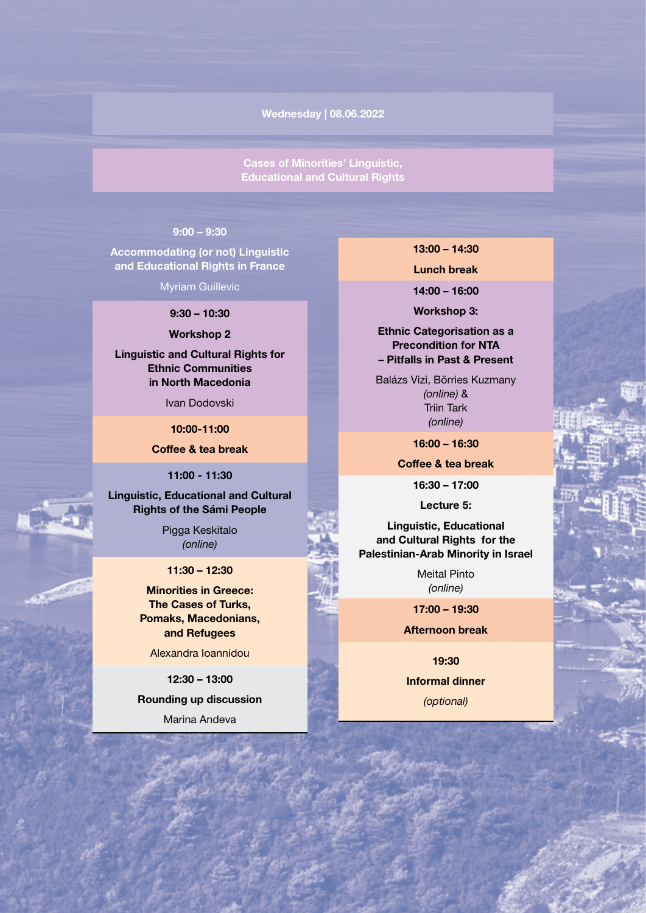Wednesday | 08.06.2022

Cases of Minorities' Linguistic, Educational and Cultural Rights

### 9:00 – 9:30

Accommodating (or not) Linguistic and Educational Rights in France

Myriam Guillevic

9:30 – 10:30

Workshop 2

Linguistic and Cultural Rights for Ethnic Communities in North Macedonia

Ivan Dodovski

10:00-11:00

Coffee & tea break

11:00 - 11:30

Linguistic, Educational and Cultural Rights of the Sámi People

> Pigga Keskitalo (online)

11:30 – 12:30

Minorities in Greece: The Cases of Turks, Pomaks, Macedonians, and Refugees

Alexandra Ioannidou

12:30 – 13:00

Rounding up discussion Marina Andeva

13:00 – 14:30

Lunch break

14:00 – 16:00

Workshop 3:

Ethnic Categorisation as a Precondition for NTA – Pitfalls in Past & Present

Balázs Vizi, Börries Kuzmany (online) & Triin Tark (online)

16:00 – 16:30

Coffee & tea break

16:30 – 17:00

Lecture 5:

Linguistic, Educational and Cultural Rights for the Palestinian-Arab Minority in Israel

> Meital Pinto (online)

17:00 – 19:30

Afternoon break

19:30 Informal dinner (optional)